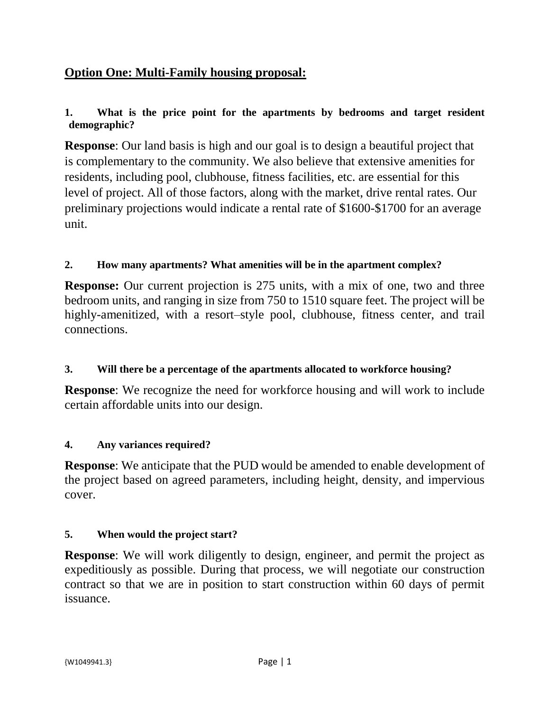# **Option One: Multi-Family housing proposal:**

### **1. What is the price point for the apartments by bedrooms and target resident demographic?**

**Response**: Our land basis is high and our goal is to design a beautiful project that is complementary to the community. We also believe that extensive amenities for residents, including pool, clubhouse, fitness facilities, etc. are essential for this level of project. All of those factors, along with the market, drive rental rates. Our preliminary projections would indicate a rental rate of \$1600-\$1700 for an average unit.

# **2. How many apartments? What amenities will be in the apartment complex?**

**Response:** Our current projection is 275 units, with a mix of one, two and three bedroom units, and ranging in size from 750 to 1510 square feet. The project will be highly-amenitized, with a resort–style pool, clubhouse, fitness center, and trail connections.

### **3. Will there be a percentage of the apartments allocated to workforce housing?**

**Response:** We recognize the need for workforce housing and will work to include certain affordable units into our design.

### **4. Any variances required?**

**Response**: We anticipate that the PUD would be amended to enable development of the project based on agreed parameters, including height, density, and impervious cover.

### **5. When would the project start?**

**Response**: We will work diligently to design, engineer, and permit the project as expeditiously as possible. During that process, we will negotiate our construction contract so that we are in position to start construction within 60 days of permit issuance.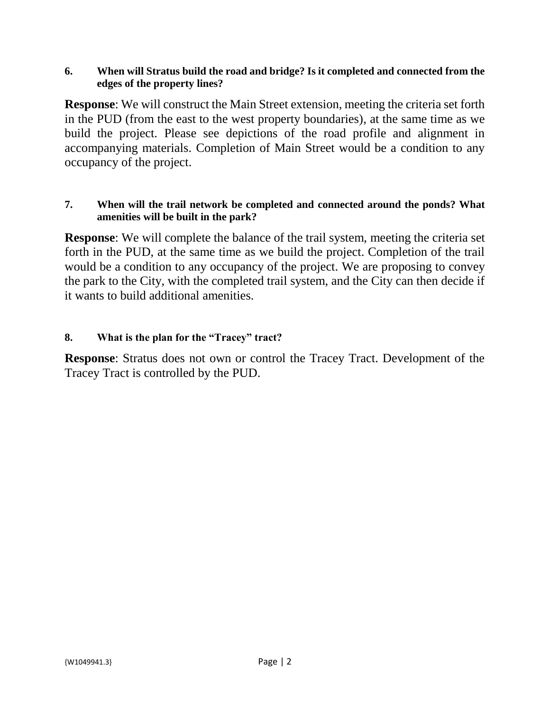#### **6. When will Stratus build the road and bridge? Is it completed and connected from the edges of the property lines?**

**Response**: We will construct the Main Street extension, meeting the criteria set forth in the PUD (from the east to the west property boundaries), at the same time as we build the project. Please see depictions of the road profile and alignment in accompanying materials. Completion of Main Street would be a condition to any occupancy of the project.

#### **7. When will the trail network be completed and connected around the ponds? What amenities will be built in the park?**

**Response**: We will complete the balance of the trail system, meeting the criteria set forth in the PUD, at the same time as we build the project. Completion of the trail would be a condition to any occupancy of the project. We are proposing to convey the park to the City, with the completed trail system, and the City can then decide if it wants to build additional amenities.

### **8. What is the plan for the "Tracey" tract?**

**Response**: Stratus does not own or control the Tracey Tract. Development of the Tracey Tract is controlled by the PUD.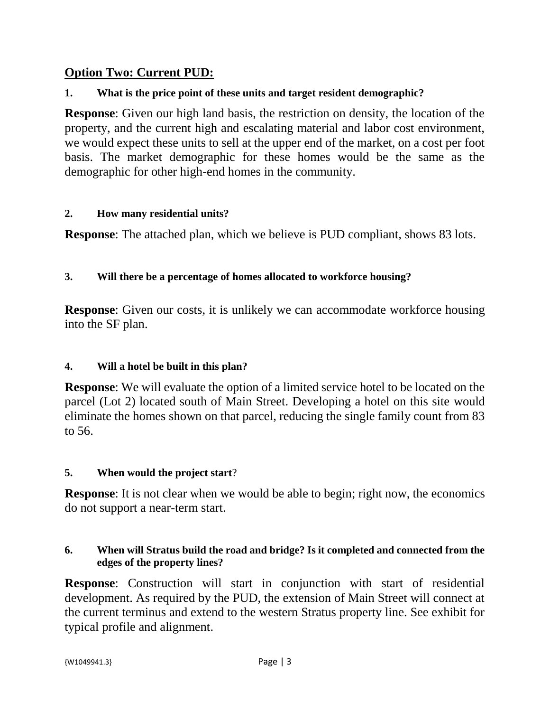# **Option Two: Current PUD:**

# **1. What is the price point of these units and target resident demographic?**

**Response**: Given our high land basis, the restriction on density, the location of the property, and the current high and escalating material and labor cost environment, we would expect these units to sell at the upper end of the market, on a cost per foot basis. The market demographic for these homes would be the same as the demographic for other high-end homes in the community.

### **2. How many residential units?**

**Response**: The attached plan, which we believe is PUD compliant, shows 83 lots.

# **3. Will there be a percentage of homes allocated to workforce housing?**

**Response**: Given our costs, it is unlikely we can accommodate workforce housing into the SF plan.

# **4. Will a hotel be built in this plan?**

**Response**: We will evaluate the option of a limited service hotel to be located on the parcel (Lot 2) located south of Main Street. Developing a hotel on this site would eliminate the homes shown on that parcel, reducing the single family count from 83 to 56.

### **5. When would the project start**?

**Response:** It is not clear when we would be able to begin; right now, the economics do not support a near-term start.

### **6. When will Stratus build the road and bridge? Is it completed and connected from the edges of the property lines?**

**Response**: Construction will start in conjunction with start of residential development. As required by the PUD, the extension of Main Street will connect at the current terminus and extend to the western Stratus property line. See exhibit for typical profile and alignment.